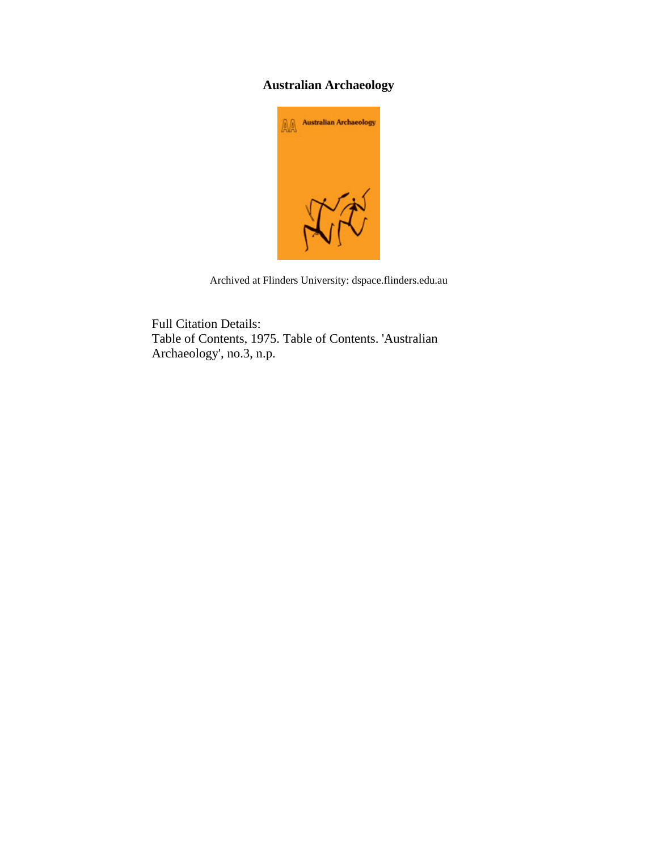## **Australian Archaeology**



Archived at Flinders University: dspace.flinders.edu.au

Full Citation Details: Table of Contents, 1975. Table of Contents. 'Australian Archaeology', no.3, n.p.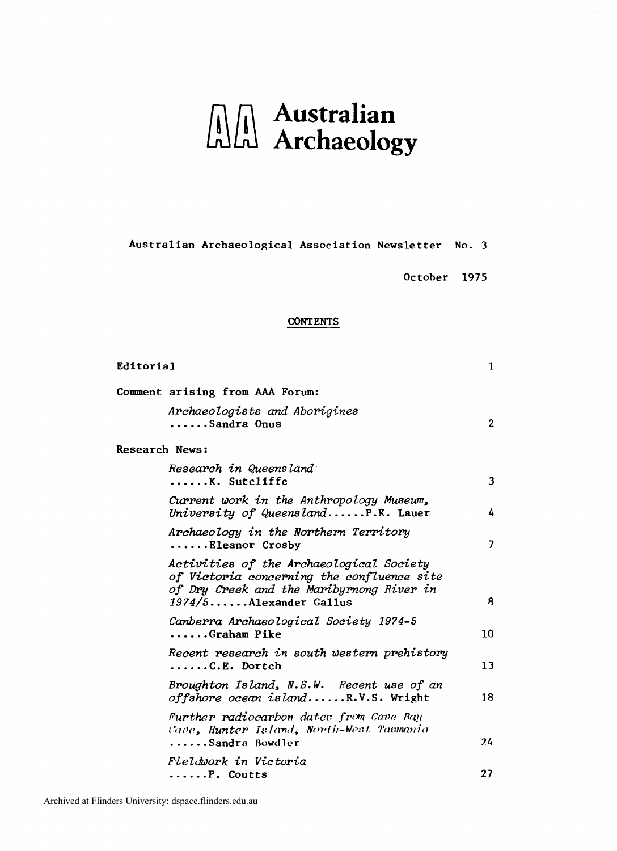# **Australian**<br>Alal Archaeolog Archaeology

#### **Australian Archaeological Association Newsletter No. 3**

**October 1975** 

#### **CONTENTS**

| Editorial             |                                                                                                                                                                  | 1            |
|-----------------------|------------------------------------------------------------------------------------------------------------------------------------------------------------------|--------------|
|                       | Comment arising from AAA Forum:                                                                                                                                  |              |
|                       | Archaeologists and Aborigines<br>Sandra Onus                                                                                                                     | $\mathbf{2}$ |
| <b>Research News:</b> |                                                                                                                                                                  |              |
|                       | Research in Queensland<br>$\ldots \ldots$ K. Sutcliffe                                                                                                           | 3            |
|                       | Current work in the Anthropology Museum,<br>University of Queensland $P.K.$ Lauer                                                                                | 4            |
|                       | Archaeology in the Northern Territory<br>$\ldots$ . Eleanor Crosby                                                                                               | 7            |
|                       | Activities of the Archaeological Society<br>of Victoria concerning the confluence site<br>of Dry Creek and the Maribyrnong River in<br>$1974/5$ Alexander Gallus | 8            |
|                       | Canberra Archaeological Society 1974-5<br>Graham Pike                                                                                                            | 10           |
|                       | Recent research in south western prehistory<br>$\ldots \ldots C.E.$ Dortch                                                                                       | 13           |
|                       | Broughton Island, N.S.W. Recent use of an<br>offshore ocean islandR.V.S. Wright                                                                                  | 18           |
|                       | Further radiocarbon dates from Cave Bay<br>Cave, Hunter Island, North-West Tasmania<br>Sandra Bowdler                                                            | 24           |
|                       | Fieldwork in Victoria<br>$\ldots \ldots$ P. Coutts                                                                                                               | 27           |